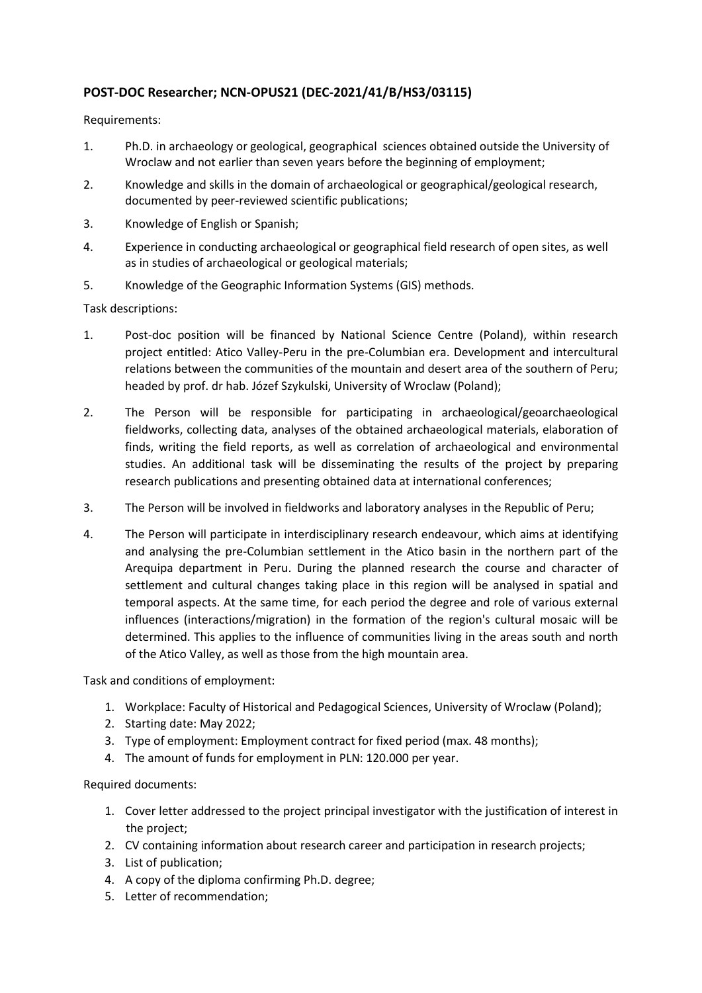## **POST-DOC Researcher; NCN-OPUS21 (DEC-2021/41/B/HS3/03115)**

Requirements:

- 1. Ph.D. in archaeology or geological, geographical sciences obtained outside the University of Wroclaw and not earlier than seven years before the beginning of employment;
- 2. Knowledge and skills in the domain of archaeological or geographical/geological research, documented by peer-reviewed scientific publications;
- 3. Knowledge of English or Spanish;
- 4. Experience in conducting archaeological or geographical field research of open sites, as well as in studies of archaeological or geological materials;
- 5. Knowledge of the Geographic Information Systems (GIS) methods.

Task descriptions:

- 1. Post-doc position will be financed by National Science Centre (Poland), within research project entitled: Atico Valley-Peru in the pre-Columbian era. Development and intercultural relations between the communities of the mountain and desert area of the southern of Peru; headed by prof. dr hab. Józef Szykulski, University of Wroclaw (Poland);
- 2. The Person will be responsible for participating in archaeological/geoarchaeological fieldworks, collecting data, analyses of the obtained archaeological materials, elaboration of finds, writing the field reports, as well as correlation of archaeological and environmental studies. An additional task will be disseminating the results of the project by preparing research publications and presenting obtained data at international conferences;
- 3. The Person will be involved in fieldworks and laboratory analyses in the Republic of Peru;
- 4. The Person will participate in interdisciplinary research endeavour, which aims at identifying and analysing the pre-Columbian settlement in the Atico basin in the northern part of the Arequipa department in Peru. During the planned research the course and character of settlement and cultural changes taking place in this region will be analysed in spatial and temporal aspects. At the same time, for each period the degree and role of various external influences (interactions/migration) in the formation of the region's cultural mosaic will be determined. This applies to the influence of communities living in the areas south and north of the Atico Valley, as well as those from the high mountain area.

Task and conditions of employment:

- 1. Workplace: Faculty of Historical and Pedagogical Sciences, University of Wroclaw (Poland);
- 2. Starting date: May 2022;
- 3. Type of employment: Employment contract for fixed period (max. 48 months);
- 4. The amount of funds for employment in PLN: 120.000 per year.

## Required documents:

- 1. Cover letter addressed to the project principal investigator with the justification of interest in the project;
- 2. CV containing information about research career and participation in research projects;
- 3. List of publication;
- 4. A copy of the diploma confirming Ph.D. degree;
- 5. Letter of recommendation;